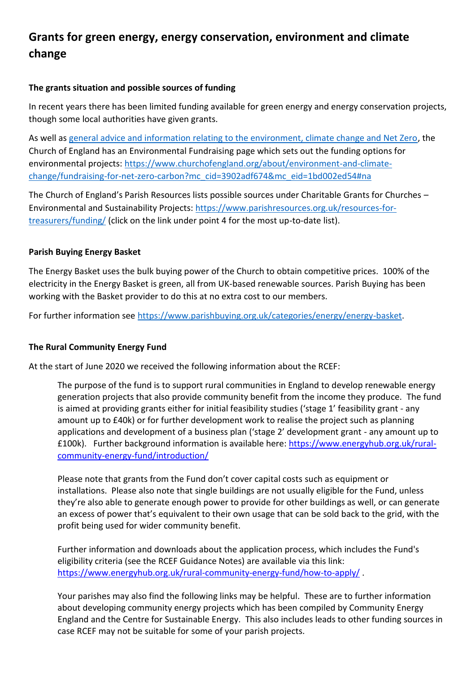## **Grants for green energy, energy conservation, environment and climate change**

## **The grants situation and possible sources of funding**

In recent years there has been limited funding available for green energy and energy conservation projects, though some local authorities have given grants.

As well as general advice and information relating to the environment, climate change and Net Zero, the Church of England has an Environmental Fundraising page which sets out the funding options for environmental projects: https://www.churchofengland.org/about/environment-and-climatechange/fundraising-for-net-zero-carbon?mc\_cid=3902adf674&mc\_eid=1bd002ed54#na

The Church of England's Parish Resources lists possible sources under Charitable Grants for Churches – Environmental and Sustainability Projects: https://www.parishresources.org.uk/resources-fortreasurers/funding/ (click on the link under point 4 for the most up-to-date list).

## **Parish Buying Energy Basket**

The Energy Basket uses the bulk buying power of the Church to obtain competitive prices. 100% of the electricity in the Energy Basket is green, all from UK-based renewable sources. Parish Buying has been working with the Basket provider to do this at no extra cost to our members.

For further information see https://www.parishbuying.org.uk/categories/energy/energy-basket.

## **The Rural Community Energy Fund**

At the start of June 2020 we received the following information about the RCEF:

The purpose of the fund is to support rural communities in England to develop renewable energy generation projects that also provide community benefit from the income they produce. The fund is aimed at providing grants either for initial feasibility studies ('stage 1' feasibility grant - any amount up to £40k) or for further development work to realise the project such as planning applications and development of a business plan ('stage 2' development grant - any amount up to £100k). Further background information is available here: https://www.energyhub.org.uk/ruralcommunity-energy-fund/introduction/

Please note that grants from the Fund don't cover capital costs such as equipment or installations. Please also note that single buildings are not usually eligible for the Fund, unless they're also able to generate enough power to provide for other buildings as well, or can generate an excess of power that's equivalent to their own usage that can be sold back to the grid, with the profit being used for wider community benefit.

Further information and downloads about the application process, which includes the Fund's eligibility criteria (see the RCEF Guidance Notes) are available via this link: https://www.energyhub.org.uk/rural-community-energy-fund/how-to-apply/ .

Your parishes may also find the following links may be helpful. These are to further information about developing community energy projects which has been compiled by Community Energy England and the Centre for Sustainable Energy. This also includes leads to other funding sources in case RCEF may not be suitable for some of your parish projects.